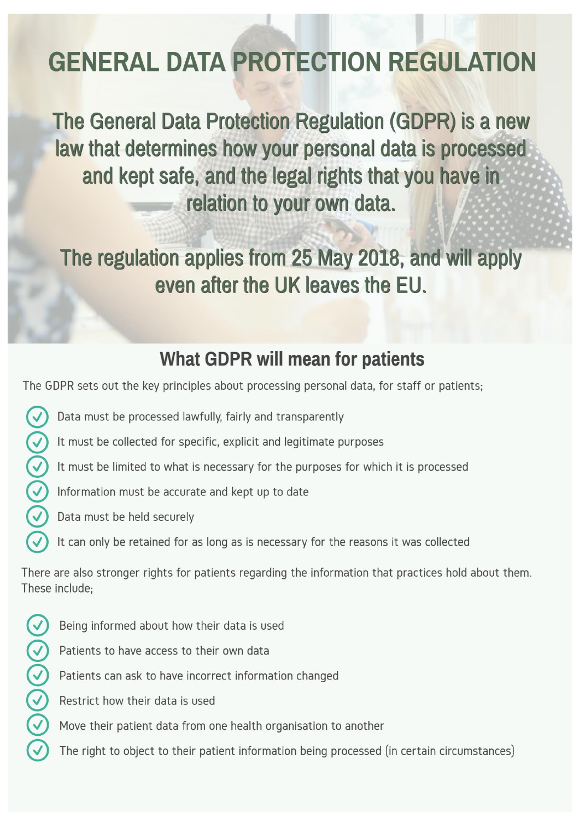# **GENERAL DATA PROTECTION REGULATION**

The General Data Protection Regulation (GDPR) is a new law that determines how your personal data is processed and kept safe, and the legal rights that you have in relation to your own data.

The regulation applies from 25 May 2018, and will apply even after the UK leaves the EU.

## **What GDPR will mean for patients**

The GDPR sets out the key principles about processing personal data, for staff or patients;

- $\blacktriangledown$ Data must be processed lawfully, fairly and transparently
	- It must be collected for specific, explicit and legitimate purposes
- $Q(\zeta)(\zeta)$ It must be limited to what is necessary for the purposes for which it is processed
	- Information must be accurate and kept up to date
	- Data must be held securely
		- It can only be retained for as long as is necessary for the reasons it was collected

There are also stronger rights for patients regarding the information that practices hold about them. These include:

- $\Im\Theta$  $\Theta$  $\Theta$  $\odot$ Being informed about how their data is used
	- Patients to have access to their own data
	- Patients can ask to have incorrect information changed
	- Restrict how their data is used
	- Move their patient data from one health organisation to another
	- The right to object to their patient information being processed (in certain circumstances)